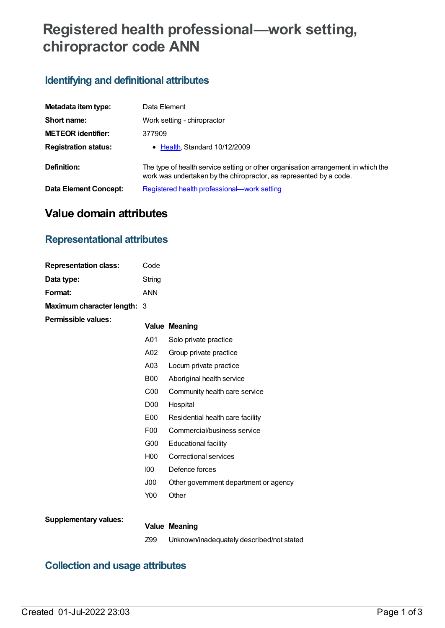# **Registered health professional—work setting, chiropractor code ANN**

# **Identifying and definitional attributes**

| Metadata item type:         | Data Element                                                                                                                                            |  |  |
|-----------------------------|---------------------------------------------------------------------------------------------------------------------------------------------------------|--|--|
| Short name:                 | Work setting - chiropractor                                                                                                                             |  |  |
| <b>METEOR identifier:</b>   | 377909                                                                                                                                                  |  |  |
| <b>Registration status:</b> | • Health, Standard 10/12/2009                                                                                                                           |  |  |
| Definition:                 | The type of health service setting or other organisation arrangement in which the<br>work was undertaken by the chiropractor, as represented by a code. |  |  |
| Data Element Concept:       | Registered health professional—work setting                                                                                                             |  |  |

# **Value domain attributes**

# **Representational attributes**

| <b>Representation class:</b> | Code             |                                       |
|------------------------------|------------------|---------------------------------------|
| Data type:                   | String           |                                       |
| Format:                      | <b>ANN</b>       |                                       |
| Maximum character length: 3  |                  |                                       |
| <b>Permissible values:</b>   |                  | <b>Value Meaning</b>                  |
|                              | A01              | Solo private practice                 |
|                              | A02              | Group private practice                |
|                              | A <sub>03</sub>  | Locum private practice                |
|                              | <b>B00</b>       | Aboriginal health service             |
|                              | C <sub>00</sub>  | Community health care service         |
|                              | D00              | Hospital                              |
|                              | E00              | Residential health care facility      |
|                              | F <sub>0</sub>   | Commercial/business service           |
|                              | G <sub>00</sub>  | Educational facility                  |
|                              | H <sub>00</sub>  | Correctional services                 |
|                              | 100 <sub>o</sub> | Defence forces                        |
|                              | J00              | Other government department or agency |
|                              | Y00              | Other                                 |
|                              |                  |                                       |
| <b>Supplementary values:</b> |                  | <b>Value Meaning</b>                  |

Z99 Unknown/inadequately described/not stated

# **Collection and usage attributes**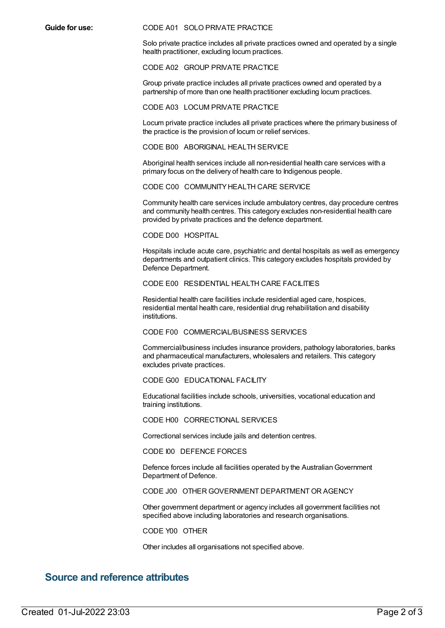#### **Guide for use:** CODE A01 SOLO PRIVATE PRACTICE

Solo private practice includes all private practices owned and operated by a single health practitioner, excluding locum practices.

#### CODE A02 GROUP PRIVATE PRACTICE

Group private practice includes all private practices owned and operated by a partnership of more than one health practitioner excluding locum practices.

#### CODE A03 LOCUM PRIVATE PRACTICE

Locum private practice includes all private practices where the primary business of the practice is the provision of locum or relief services.

#### CODE B00 ABORIGINAL HEALTH SERVICE

Aboriginal health services include all non-residential health care services with a primary focus on the delivery of health care to Indigenous people.

#### CODE C00 COMMUNITY HEALTH CARE SERVICE

Community health care services include ambulatory centres, day procedure centres and community health centres. This category excludes non-residential health care provided by private practices and the defence department.

### CODE D00 HOSPITAL

Hospitals include acute care, psychiatric and dental hospitals as well as emergency departments and outpatient clinics. This category excludes hospitals provided by Defence Department.

#### CODE E00 RESIDENTIAL HEALTH CARE FACILITIES

Residential health care facilities include residential aged care, hospices, residential mental health care, residential drug rehabilitation and disability institutions.

### CODE F00 COMMERCIAL/BUSINESS SERVICES

Commercial/business includes insurance providers, pathology laboratories, banks and pharmaceutical manufacturers, wholesalers and retailers. This category excludes private practices.

#### CODE G00 EDUCATIONAL FACILITY

Educational facilities include schools, universities, vocational education and training institutions.

#### CODE H00 CORRECTIONAL SERVICES

Correctional services include jails and detention centres.

CODE I00 DEFENCE FORCES

Defence forces include all facilities operated by the Australian Government Department of Defence.

### CODE J00 OTHER GOVERNMENT DEPARTMENT OR AGENCY

Other government department or agency includes all government facilities not specified above including laboratories and research organisations.

#### CODE Y00 OTHER

Other includes all organisations not specified above.

## **Source and reference attributes**